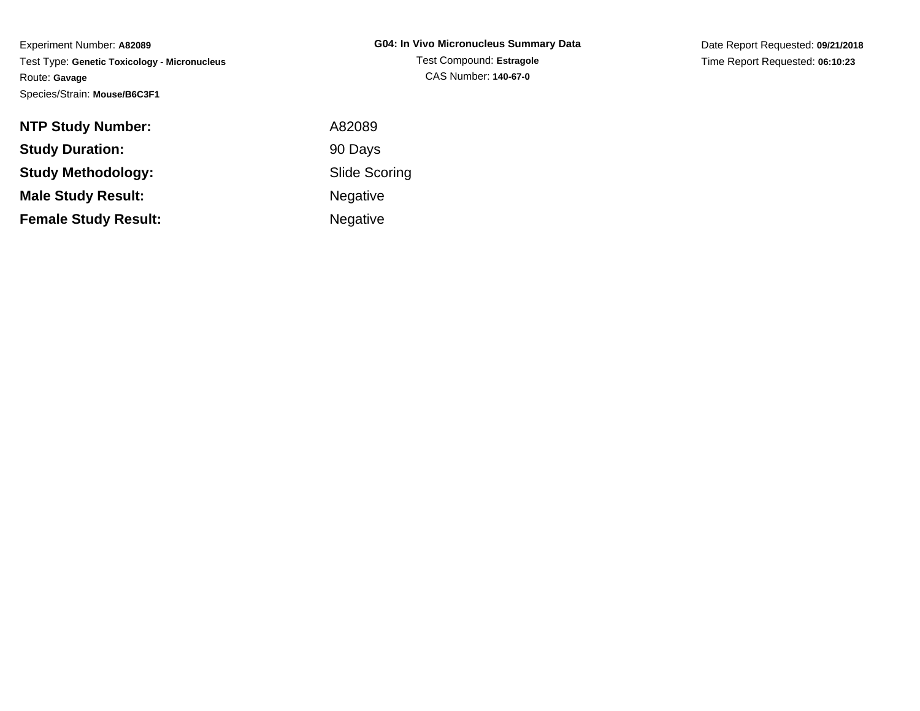Date Report Requested: **09/21/2018**Time Report Requested: **06:10:23**

| <b>NTP Study Number:</b>    | A82089               |
|-----------------------------|----------------------|
| <b>Study Duration:</b>      | 90 Days              |
| <b>Study Methodology:</b>   | <b>Slide Scoring</b> |
| <b>Male Study Result:</b>   | <b>Negative</b>      |
| <b>Female Study Result:</b> | <b>Negative</b>      |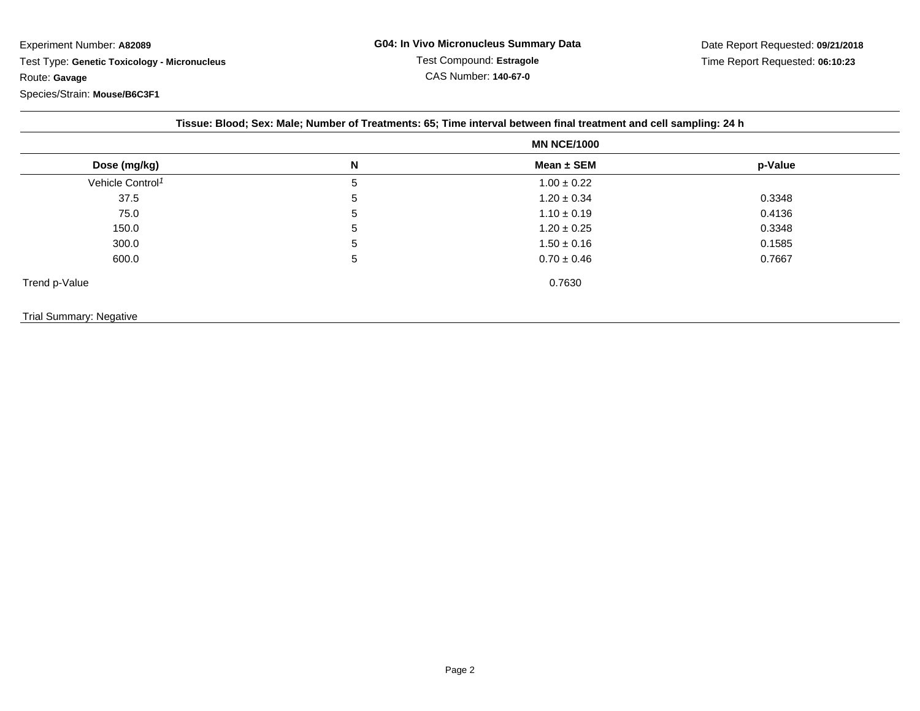|                              | <b>MN NCE/1000</b> |                 |         |
|------------------------------|--------------------|-----------------|---------|
| Dose (mg/kg)                 | N                  | Mean $\pm$ SEM  | p-Value |
| Vehicle Control <sup>1</sup> | 5                  | $1.00 \pm 0.22$ |         |
| 37.5                         | 5                  | $1.20 \pm 0.34$ | 0.3348  |
| 75.0                         | 5                  | $1.10 \pm 0.19$ | 0.4136  |
| 150.0                        | 5                  | $1.20 \pm 0.25$ | 0.3348  |
| 300.0                        | 5                  | $1.50 \pm 0.16$ | 0.1585  |
| 600.0                        | 5                  | $0.70 \pm 0.46$ | 0.7667  |
| Trend p-Value                |                    | 0.7630          |         |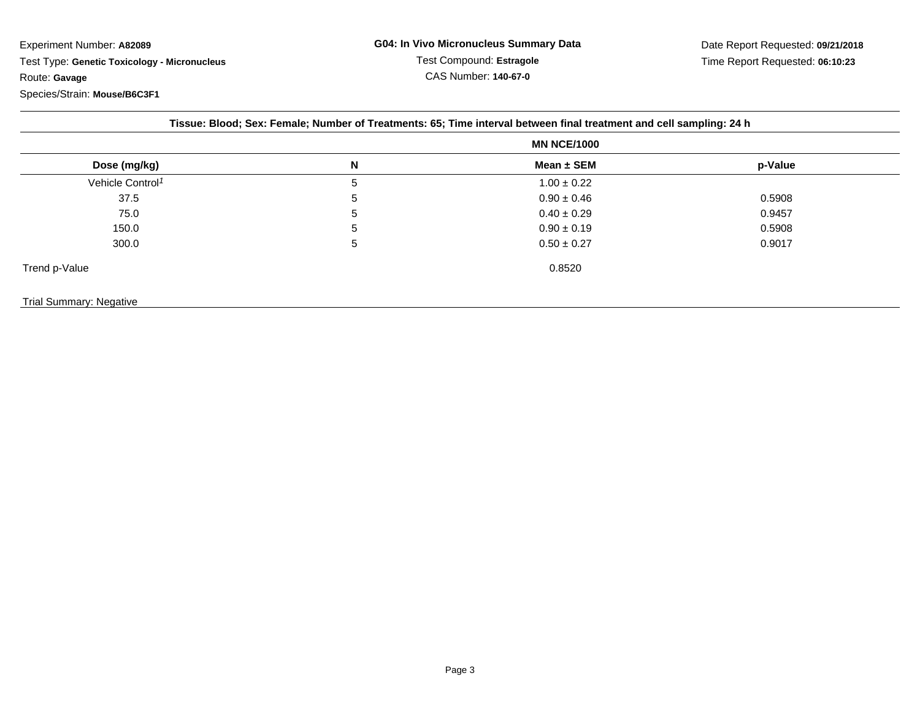| Dose (mg/kg)                 | <b>MN NCE/1000</b> |                 |         |
|------------------------------|--------------------|-----------------|---------|
|                              | N                  | Mean $\pm$ SEM  | p-Value |
| Vehicle Control <sup>1</sup> | 5                  | $1.00 \pm 0.22$ |         |
| 37.5                         | 5                  | $0.90 \pm 0.46$ | 0.5908  |
| 75.0                         | $\mathbf b$        | $0.40 \pm 0.29$ | 0.9457  |
| 150.0                        | 5                  | $0.90 \pm 0.19$ | 0.5908  |
| 300.0                        | 5                  | $0.50 \pm 0.27$ | 0.9017  |
| Trend p-Value                |                    | 0.8520          |         |